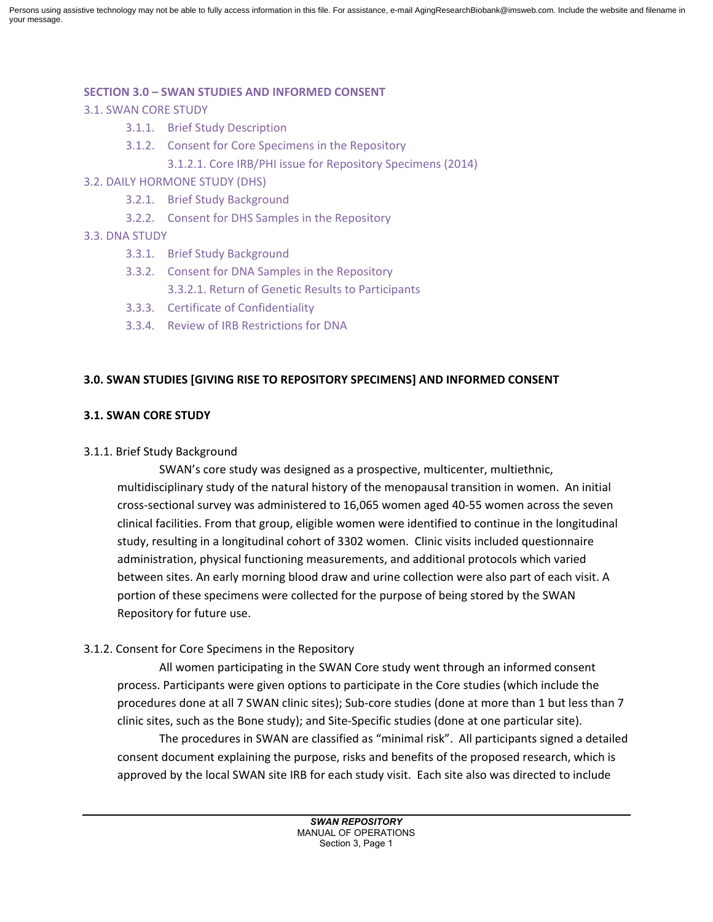Persons using assistive technology may not be able to fully access information in this file. For assistance, e-mail AgingResearchBiobank@imsweb.com. Include the website and filename in your message.

## **SECTION 3.0 – SWAN STUDIES AND INFORMED CONSENT**

- 3.1. SWAN CORE STUDY
	- 3.1.1. Brief Study Description
	- 3.1.2. Consent for Core Specimens in the Repository
		- 3.1.2.1. Core IRB/PHI issue for Repository Specimens (2014)
- 3.2. DAILY HORMONE STUDY (DHS)
	- 3.2.1. Brief Study Background
	- 3.2.2. Consent for DHS Samples in the Repository
- 3.3. DNA STUDY
	- 3.3.1. Brief Study Background
	- 3.3.2. Consent for DNA Samples in the Repository 3.3.2.1. Return of Genetic Results to Participants
	- 3.3.3. Certificate of Confidentiality
	- 3.3.4. Review of IRB Restrictions for DNA

#### **3.0. SWAN STUDIES [GIVING RISE TO REPOSITORY SPECIMENS] AND INFORMED CONSENT**

## **3.1. SWAN CORE STUDY**

#### 3.1.1. Brief Study Background

SWAN's core study was designed as a prospective, multicenter, multiethnic, multidisciplinary study of the natural history of the menopausal transition in women. An initial cross-sectional survey was administered to 16,065 women aged 40-55 women across the seven clinical facilities. From that group, eligible women were identified to continue in the longitudinal study, resulting in a longitudinal cohort of 3302 women. Clinic visits included questionnaire administration, physical functioning measurements, and additional protocols which varied between sites. An early morning blood draw and urine collection were also part of each visit. A portion of these specimens were collected for the purpose of being stored by the SWAN Repository for future use.

## 3.1.2. Consent for Core Specimens in the Repository

All women participating in the SWAN Core study went through an informed consent process. Participants were given options to participate in the Core studies (which include the procedures done at all 7 SWAN clinic sites); Sub-core studies (done at more than 1 but less than 7 clinic sites, such as the Bone study); and Site-Specific studies (done at one particular site).

The procedures in SWAN are classified as "minimal risk". All participants signed a detailed consent document explaining the purpose, risks and benefits of the proposed research, which is approved by the local SWAN site IRB for each study visit. Each site also was directed to include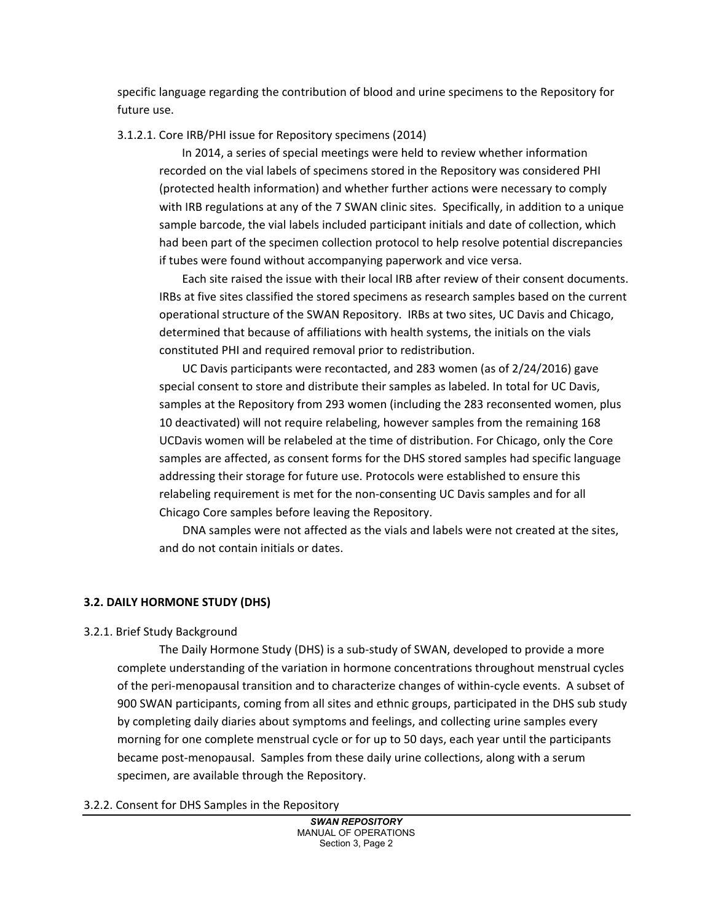specific language regarding the contribution of blood and urine specimens to the Repository for future use.

#### 3.1.2.1. Core IRB/PHI issue for Repository specimens (2014)

 In 2014, a series of special meetings were held to review whether information recorded on the vial labels of specimens stored in the Repository was considered PHI (protected health information) and whether further actions were necessary to comply with IRB regulations at any of the 7 SWAN clinic sites. Specifically, in addition to a unique sample barcode, the vial labels included participant initials and date of collection, which had been part of the specimen collection protocol to help resolve potential discrepancies if tubes were found without accompanying paperwork and vice versa.

 Each site raised the issue with their local IRB after review of their consent documents. IRBs at five sites classified the stored specimens as research samples based on the current operational structure of the SWAN Repository. IRBs at two sites, UC Davis and Chicago, determined that because of affiliations with health systems, the initials on the vials constituted PHI and required removal prior to redistribution.

 UC Davis participants were recontacted, and 283 women (as of 2/24/2016) gave special consent to store and distribute their samples as labeled. In total for UC Davis, samples at the Repository from 293 women (including the 283 reconsented women, plus 10 deactivated) will not require relabeling, however samples from the remaining 168 UCDavis women will be relabeled at the time of distribution. For Chicago, only the Core samples are affected, as consent forms for the DHS stored samples had specific language addressing their storage for future use. Protocols were established to ensure this relabeling requirement is met for the non-consenting UC Davis samples and for all Chicago Core samples before leaving the Repository.

DNA samples were not affected as the vials and labels were not created at the sites, and do not contain initials or dates.

## **3.2. DAILY HORMONE STUDY (DHS)**

#### 3.2.1. Brief Study Background

The Daily Hormone Study (DHS) is a sub-study of SWAN, developed to provide a more complete understanding of the variation in hormone concentrations throughout menstrual cycles of the peri-menopausal transition and to characterize changes of within-cycle events. A subset of 900 SWAN participants, coming from all sites and ethnic groups, participated in the DHS sub study by completing daily diaries about symptoms and feelings, and collecting urine samples every morning for one complete menstrual cycle or for up to 50 days, each year until the participants became post-menopausal. Samples from these daily urine collections, along with a serum specimen, are available through the Repository.

#### 3.2.2. Consent for DHS Samples in the Repository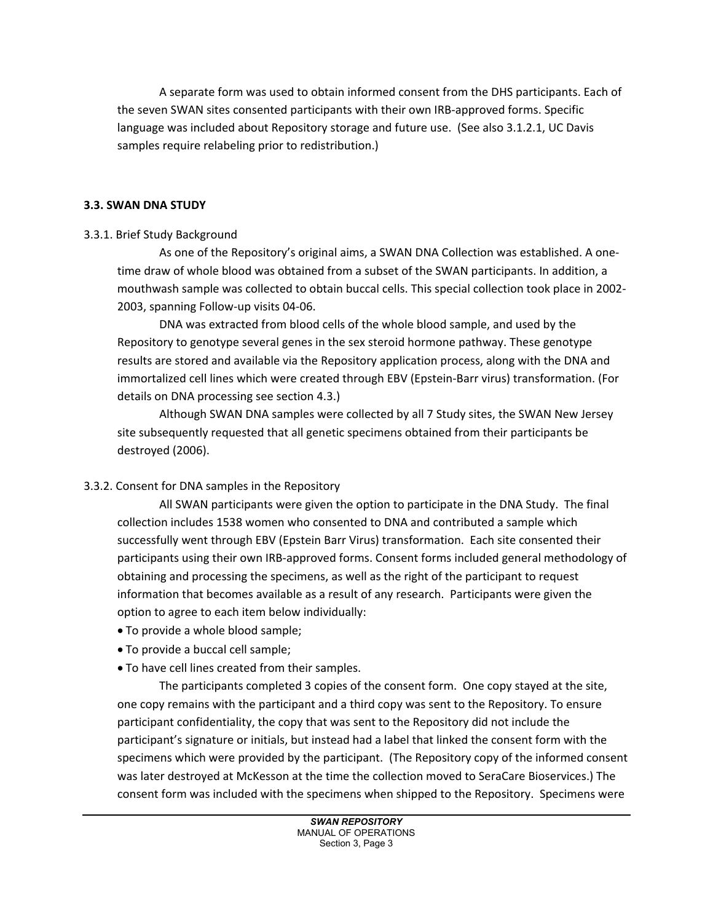A separate form was used to obtain informed consent from the DHS participants. Each of the seven SWAN sites consented participants with their own IRB-approved forms. Specific language was included about Repository storage and future use. (See also 3.1.2.1, UC Davis samples require relabeling prior to redistribution.)

## **3.3. SWAN DNA STUDY**

## 3.3.1. Brief Study Background

As one of the Repository's original aims, a SWAN DNA Collection was established. A onetime draw of whole blood was obtained from a subset of the SWAN participants. In addition, a mouthwash sample was collected to obtain buccal cells. This special collection took place in 2002- 2003, spanning Follow-up visits 04-06.

DNA was extracted from blood cells of the whole blood sample, and used by the Repository to genotype several genes in the sex steroid hormone pathway. These genotype results are stored and available via the Repository application process, along with the DNA and immortalized cell lines which were created through EBV (Epstein-Barr virus) transformation. (For details on DNA processing see section 4.3.)

Although SWAN DNA samples were collected by all 7 Study sites, the SWAN New Jersey site subsequently requested that all genetic specimens obtained from their participants be destroyed (2006).

# 3.3.2. Consent for DNA samples in the Repository

All SWAN participants were given the option to participate in the DNA Study. The final collection includes 1538 women who consented to DNA and contributed a sample which successfully went through EBV (Epstein Barr Virus) transformation. Each site consented their participants using their own IRB-approved forms. Consent forms included general methodology of obtaining and processing the specimens, as well as the right of the participant to request information that becomes available as a result of any research. Participants were given the option to agree to each item below individually:

- To provide a whole blood sample;
- To provide a buccal cell sample;
- To have cell lines created from their samples.

The participants completed 3 copies of the consent form. One copy stayed at the site, one copy remains with the participant and a third copy was sent to the Repository. To ensure participant confidentiality, the copy that was sent to the Repository did not include the participant's signature or initials, but instead had a label that linked the consent form with the specimens which were provided by the participant. (The Repository copy of the informed consent was later destroyed at McKesson at the time the collection moved to SeraCare Bioservices.) The consent form was included with the specimens when shipped to the Repository. Specimens were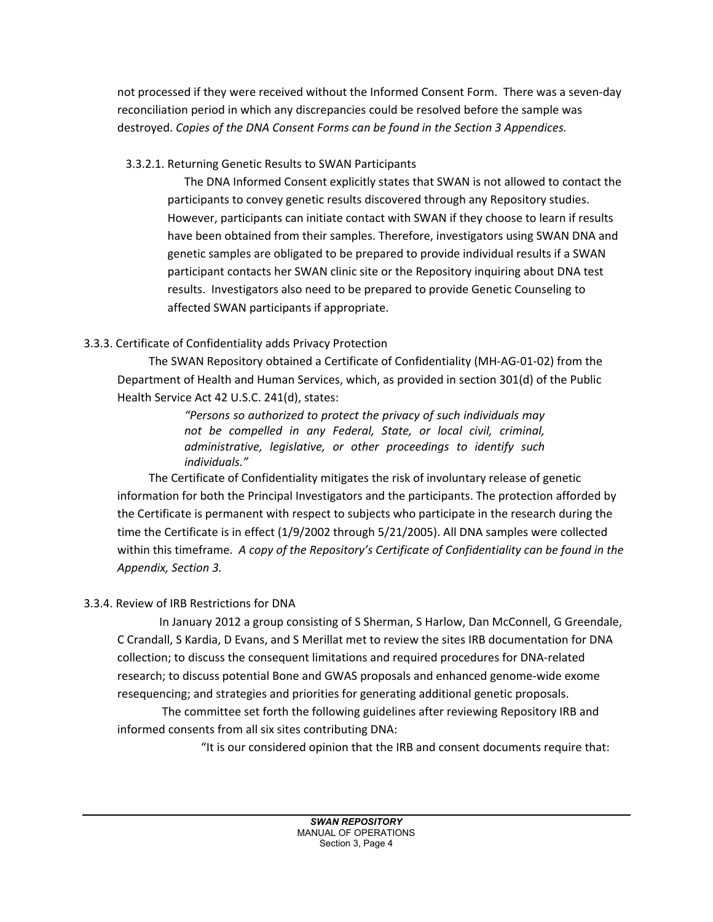not processed if they were received without the Informed Consent Form. There was a seven-day reconciliation period in which any discrepancies could be resolved before the sample was destroyed. *Copies of the DNA Consent Forms can be found in the Section 3 Appendices.*

# 3.3.2.1. Returning Genetic Results to SWAN Participants

The DNA Informed Consent explicitly states that SWAN is not allowed to contact the participants to convey genetic results discovered through any Repository studies. However, participants can initiate contact with SWAN if they choose to learn if results have been obtained from their samples. Therefore, investigators using SWAN DNA and genetic samples are obligated to be prepared to provide individual results if a SWAN participant contacts her SWAN clinic site or the Repository inquiring about DNA test results. Investigators also need to be prepared to provide Genetic Counseling to affected SWAN participants if appropriate.

# 3.3.3. Certificate of Confidentiality adds Privacy Protection

 The SWAN Repository obtained a Certificate of Confidentiality (MH-AG-01-02) from the Department of Health and Human Services, which, as provided in section 301(d) of the Public Health Service Act 42 U.S.C. 241(d), states:

> *"Persons so authorized to protect the privacy of such individuals may not be compelled in any Federal, State, or local civil, criminal, administrative, legislative, or other proceedings to identify such individuals."*

 The Certificate of Confidentiality mitigates the risk of involuntary release of genetic information for both the Principal Investigators and the participants. The protection afforded by the Certificate is permanent with respect to subjects who participate in the research during the time the Certificate is in effect (1/9/2002 through 5/21/2005). All DNA samples were collected within this timeframe. *A copy of the Repository's Certificate of Confidentiality can be found in the Appendix, Section 3.*

# 3.3.4. Review of IRB Restrictions for DNA

In January 2012 a group consisting of S Sherman, S Harlow, Dan McConnell, G Greendale, C Crandall, S Kardia, D Evans, and S Merillat met to review the sites IRB documentation for DNA collection; to discuss the consequent limitations and required procedures for DNA-related research; to discuss potential Bone and GWAS proposals and enhanced genome-wide exome resequencing; and strategies and priorities for generating additional genetic proposals.

The committee set forth the following guidelines after reviewing Repository IRB and informed consents from all six sites contributing DNA:

"It is our considered opinion that the IRB and consent documents require that: